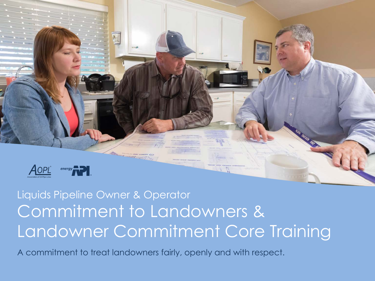

Liquids Pipeline Owner & Operator Commitment to Landowners & Landowner Commitment Core Training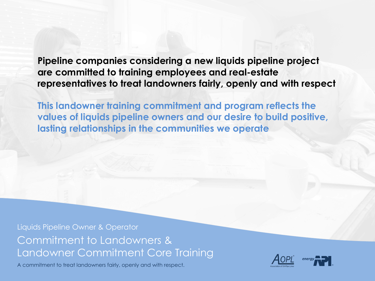**Pipeline companies considering a new liquids pipeline project are committed to training employees and real-estate representatives to treat landowners fairly, openly and with respect**

**This landowner training commitment and program reflects the values of liquids pipeline owners and our desire to build positive, lasting relationships in the communities we operate**

Liquids Pipeline Owner & Operator Commitment to Landowners & Landowner Commitment Core Training

A commitment to treat landowners fairly, openly and with respect.



®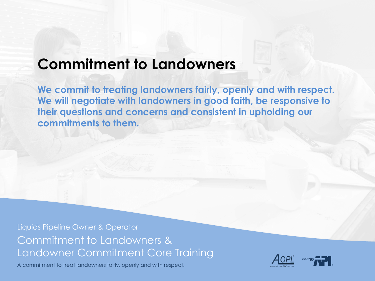# **Commitment to Landowners**

**We commit to treating landowners fairly, openly and with respect. We will negotiate with landowners in good faith, be responsive to their questions and concerns and consistent in upholding our commitments to them.**

Liquids Pipeline Owner & Operator Commitment to Landowners & Landowner Commitment Core Training

A commitment to treat landowners fairly, openly and with respect.



®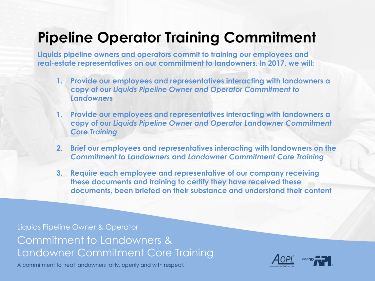# **Pipeline Operator Training Commitment**

**Liquids pipeline owners and operators commit to training our employees and real-estate representatives on our commitment to landowners. In 2017, we will:**

- **1. Provide our employees and representatives interacting with landowners a copy of our** *Liquids Pipeline Owner and Operator Commitment to Landowners*
- **1. Provide our employees and representatives interacting with landowners a copy of our** *Liquids Pipeline Owner and Operator Landowner Commitment Core Training*
- **2. Brief our employees and representatives interacting with landowners on the**  *Commitment to Landowners* **and** *Landowner Commitment Core Training*
- **3. Require each employee and representative of our company receiving these documents and training to certify they have received these documents, been briefed on their substance and understand their content**

Liquids Pipeline Owner & Operator Commitment to Landowners & Landowner Commitment Core Training

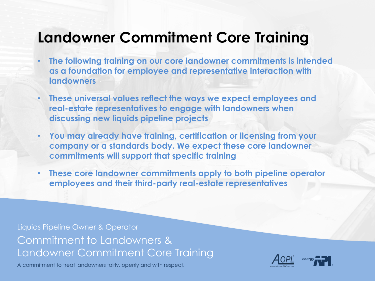## **Landowner Commitment Core Training**

- **The following training on our core landowner commitments is intended as a foundation for employee and representative interaction with landowners**
- **These universal values reflect the ways we expect employees and real-estate representatives to engage with landowners when discussing new liquids pipeline projects**
- **You may already have training, certification or licensing from your company or a standards body. We expect these core landowner commitments will support that specific training**
- **These core landowner commitments apply to both pipeline operator employees and their third-party real-estate representatives**

Liquids Pipeline Owner & Operator Commitment to Landowners & Landowner Commitment Core Training

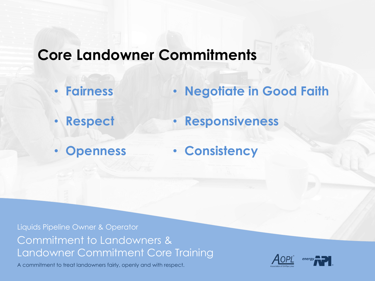# **Core Landowner Commitments**

- **Fairness** • **Negotiate in Good Faith**
- **Respect** • **Responsiveness**
- **Openness**

• **Consistency**

Liquids Pipeline Owner & Operator Commitment to Landowners & Landowner Commitment Core Training

A commitment to treat landowners fairly, openly and with respect.



®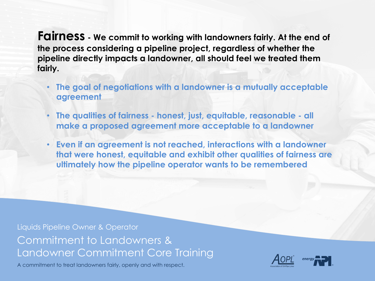**Fairness - We commit to working with landowners fairly. At the end of the process considering a pipeline project, regardless of whether the pipeline directly impacts a landowner, all should feel we treated them fairly.**

- **The goal of negotiations with a landowner is a mutually acceptable agreement**
- **The qualities of fairness - honest, just, equitable, reasonable - all make a proposed agreement more acceptable to a landowner**
- **Even if an agreement is not reached, interactions with a landowner that were honest, equitable and exhibit other qualities of fairness are ultimately how the pipeline operator wants to be remembered**

Liquids Pipeline Owner & Operator Commitment to Landowners & Landowner Commitment Core Training

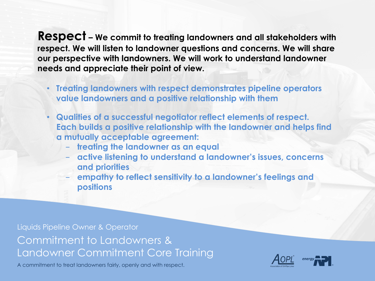**Respect – We commit to treating landowners and all stakeholders with respect. We will listen to landowner questions and concerns. We will share our perspective with landowners. We will work to understand landowner needs and appreciate their point of view.** 

- **Treating landowners with respect demonstrates pipeline operators value landowners and a positive relationship with them**
- **Qualities of a successful negotiator reflect elements of respect. Each builds a positive relationship with the landowner and helps find a mutually acceptable agreement:** 
	- **treating the landowner as an equal**
	- **active listening to understand a landowner's issues, concerns and priorities**

- **empathy to reflect sensitivity to a landowner's feelings and positions**

Liquids Pipeline Owner & Operator Commitment to Landowners & Landowner Commitment Core Training

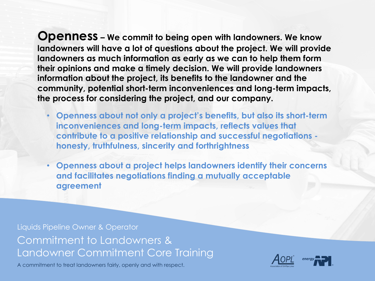**Openness – We commit to being open with landowners. We know landowners will have a lot of questions about the project. We will provide landowners as much information as early as we can to help them form their opinions and make a timely decision. We will provide landowners information about the project, its benefits to the landowner and the community, potential short-term inconveniences and long-term impacts, the process for considering the project, and our company.** 

- **Openness about not only a project's benefits, but also its short-term inconveniences and long-term impacts, reflects values that contribute to a positive relationship and successful negotiations honesty, truthfulness, sincerity and forthrightness**
- **Openness about a project helps landowners identify their concerns and facilitates negotiations finding a mutually acceptable agreement**

Liquids Pipeline Owner & Operator Commitment to Landowners & Landowner Commitment Core Training

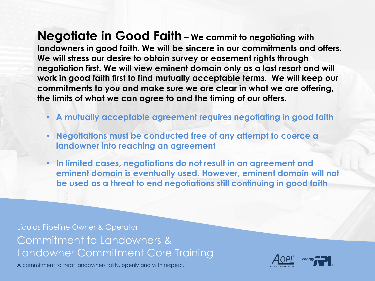**Negotiate in Good Faith – We commit to negotiating with landowners in good faith. We will be sincere in our commitments and offers. We will stress our desire to obtain survey or easement rights through negotiation first. We will view eminent domain only as a last resort and will work in good faith first to find mutually acceptable terms. We will keep our commitments to you and make sure we are clear in what we are offering, the limits of what we can agree to and the timing of our offers.**

- **A mutually acceptable agreement requires negotiating in good faith**
- **Negotiations must be conducted free of any attempt to coerce a landowner into reaching an agreement**
- **In limited cases, negotiations do not result in an agreement and eminent domain is eventually used. However, eminent domain will not be used as a threat to end negotiations still continuing in good faith**

Liquids Pipeline Owner & Operator Commitment to Landowners & Landowner Commitment Core Training

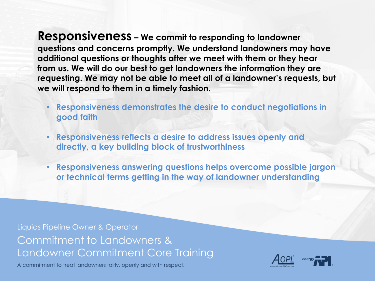**Responsiveness – We commit to responding to landowner questions and concerns promptly. We understand landowners may have additional questions or thoughts after we meet with them or they hear from us. We will do our best to get landowners the information they are requesting. We may not be able to meet all of a landowner's requests, but we will respond to them in a timely fashion.** 

- **Responsiveness demonstrates the desire to conduct negotiations in good faith**
- **Responsiveness reflects a desire to address issues openly and directly, a key building block of trustworthiness**
- **Responsiveness answering questions helps overcome possible jargon or technical terms getting in the way of landowner understanding**

Liquids Pipeline Owner & Operator Commitment to Landowners & Landowner Commitment Core Training

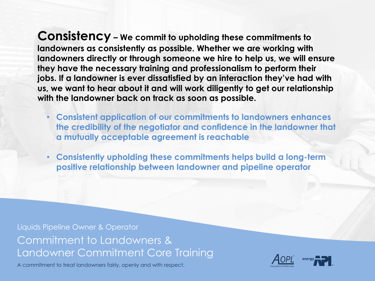**Consistency – We commit to upholding these commitments to landowners as consistently as possible. Whether we are working with landowners directly or through someone we hire to help us, we will ensure they have the necessary training and professionalism to perform their jobs. If a landowner is ever dissatisfied by an interaction they've had with us, we want to hear about it and will work diligently to get our relationship with the landowner back on track as soon as possible.** 

- **Consistent application of our commitments to landowners enhances the credibility of the negotiator and confidence in the landowner that a mutually acceptable agreement is reachable**
- **Consistently upholding these commitments helps build a long-term positive relationship between landowner and pipeline operator**

Liquids Pipeline Owner & Operator Commitment to Landowners & Landowner Commitment Core Training